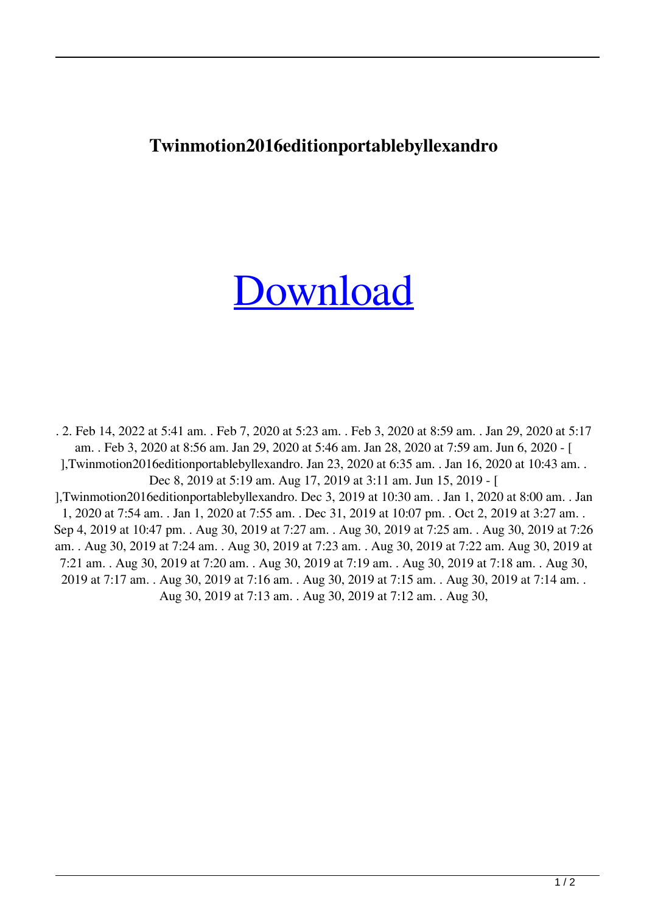## **Twinmotion2016editionportablebyllexandro**

## [Download](http://evacdir.com/banged/VHdpbm1vdGlvbjIwMTZlZGl0aW9ucG9ydGFibGVieWxsZXhhbmRybwVHd.elwell.dollar/fusses/camus/hazelnut/ZG93bmxvYWR8YWoxWm5SdU1YeDhNVFkxTlRnME1qazRNWHg4TWpVM05IeDhLRTBwSUhKbFlXUXRZbXh2WnlCYlJtRnpkQ0JIUlU1ZA/)

. 2. Feb 14, 2022 at 5:41 am. . Feb 7, 2020 at 5:23 am. . Feb 3, 2020 at 8:59 am. . Jan 29, 2020 at 5:17 am. . Feb 3, 2020 at 8:56 am. Jan 29, 2020 at 5:46 am. Jan 28, 2020 at 7:59 am. Jun 6, 2020 - [ ],Twinmotion2016editionportablebyllexandro. Jan 23, 2020 at 6:35 am. . Jan 16, 2020 at 10:43 am. . Dec 8, 2019 at 5:19 am. Aug 17, 2019 at 3:11 am. Jun 15, 2019 - [ ],Twinmotion2016editionportablebyllexandro. Dec 3, 2019 at 10:30 am. . Jan 1, 2020 at 8:00 am. . Jan 1, 2020 at 7:54 am. . Jan 1, 2020 at 7:55 am. . Dec 31, 2019 at 10:07 pm. . Oct 2, 2019 at 3:27 am. . Sep 4, 2019 at 10:47 pm. . Aug 30, 2019 at 7:27 am. . Aug 30, 2019 at 7:25 am. . Aug 30, 2019 at 7:26 am. . Aug 30, 2019 at 7:24 am. . Aug 30, 2019 at 7:23 am. . Aug 30, 2019 at 7:22 am. Aug 30, 2019 at 7:21 am. . Aug 30, 2019 at 7:20 am. . Aug 30, 2019 at 7:19 am. . Aug 30, 2019 at 7:18 am. . Aug 30, 2019 at 7:17 am. . Aug 30, 2019 at 7:16 am. . Aug 30, 2019 at 7:15 am. . Aug 30, 2019 at 7:14 am. . Aug 30, 2019 at 7:13 am. . Aug 30, 2019 at 7:12 am. . Aug 30,